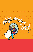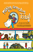We all grow up listening to stories–many of them shape our understanding of the world. And we especially like the ones that end with 'happily ever after" right? So... I would like to share a such a story– one that made a huge impact on me! it is called:

ined.

Once upon a time there lived a very happy little boy called Nero.

Like all children, he loved playing games with his friends, loved dreaming big dreams and loved pretending he was superman!



and dumped a huge pile of smelly garbage right in the middle of the field!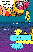

ian

Nero was flabbergasted.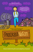## Slowly, over the years, Nero went from Can I to I can't….



Then out of the blue, he got a letter from his cousin, Kate, to come visit him. He had not met her for a long time and so, he decided to go on this journey.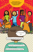When he landed there, the first thing that struck him was the sound of laughter, and energy and colours and light and love….

 $\bullet$ 

**C** And…Kate - looking very strange indeed...

Cleaning up garbage with her friends and smiling!

But he was perplexed..

Why?

"So we can play here!", Kate promptly replied.

Nero was still baffled.

But why? Wait for the government to clean it

Now Kate was baffled...

Why should we wait when WE CAN do it ourselves?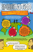You see, what Nero did not know was that Kate lived in a land called



Then Kate took Nero to see the land of Imagination where children from all around the world were changing the bad and making it good with the power of their ideas!

In Mexico, Nero saw the amazing movement of change by 700,000 children – using the power of I CAN to build roads, plant trees fix leaky taps and so on!

 $\sigma_0$ 

In Bhutan he saw children tackle the problem of packaged food and saw them give alternatives so that plastic would be significantly reduced….

In Benin, he saw children bring back their girls who had been forced to leave their studies to be wed. They even changed the law of their country!

In India, young adults organized an auction to raise funds to buy physio therapy equipment for children afflicted with cancer, hugged lepers to make them feel accepted, helped their friend who couldnt walk come to school everyday, and much more!

Nero was stunned! Superman was not a fairy tale – there were superpowers in all the children in front of him, and they were using their powers to change the world!

**Till Plate** 

I ALSO WANT THE I CAN POWER! What's the magic potion?

> A simple four step formula! Feel, imagine, Do and Share…

And dont wait for anyone's permission to make the world a better place!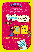